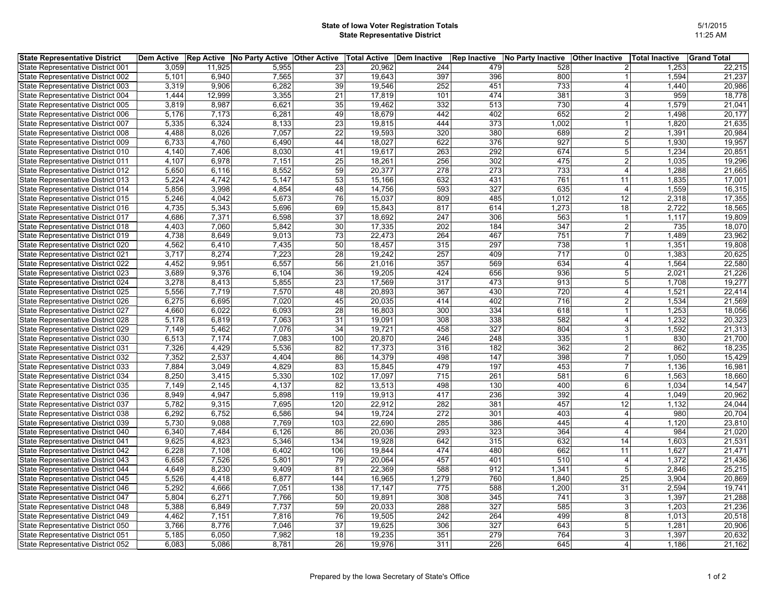## **State of Iowa Voter Registration Totals State Representative District**

| <b>State Representative District</b> | Dem Active |        | <b>Rep Active No Party Active Other Active</b> |     |        | Total Active Dem Inactive | <b>Rep Inactive</b> | No Party Inactive | <b>Other Inactive</b> | Total Inactive | <b>Grand Total</b> |
|--------------------------------------|------------|--------|------------------------------------------------|-----|--------|---------------------------|---------------------|-------------------|-----------------------|----------------|--------------------|
| State Representative District 001    | 3,059      | 11,925 | 5,955                                          | 23  | 20,962 | 244                       | 479                 | 528               |                       | 1,253          | 22,215             |
| State Representative District 002    | 5,101      | 6,940  | 7,565                                          | 37  | 19,643 | 397                       | 396                 | 800               |                       | 1,594          | 21,237             |
| State Representative District 003    | 3,319      | 9,906  | 6,282                                          | 39  | 19,546 | 252                       | 451                 | 733               |                       | 1,440          | 20,986             |
| State Representative District 004    | 1.444      | 12,999 | 3,355                                          | 21  | 17,819 | 101                       | 474                 | 381               | 3                     | 959            | 18,778             |
| State Representative District 005    | 3,819      | 8,987  | 6,621                                          | 35  | 19,462 | 332                       | 513                 | 730               | $\overline{4}$        | 1,579          | 21,041             |
| State Representative District 006    | 5,176      | 7,173  | 6,281                                          | 49  | 18,679 | 442                       | 402                 | 652               | $\overline{2}$        | 1,498          | 20,177             |
| State Representative District 007    | 5,335      | 6,324  | 8,133                                          | 23  | 19,815 | 444                       | 373                 | 1,002             |                       | 1,820          | 21,635             |
| State Representative District 008    | 4,488      | 8,026  | 7,057                                          | 22  | 19,593 | 320                       | 380                 | 689               | $\overline{2}$        | 1,391          | 20,984             |
| State Representative District 009    | 6,733      | 4,760  | 6,490                                          | 44  | 18,027 | 622                       | 376                 | 927               | $\mathbf 5$           | 1,930          | 19,957             |
| State Representative District 010    | 4,140      | 7,406  | 8,030                                          | 41  | 19,617 | 263                       | 292                 | 674               | 5                     | 1,234          | 20,851             |
| State Representative District 011    | 4,107      | 6,978  | 7,151                                          | 25  | 18,261 | 256                       | 302                 | 475               | $\overline{2}$        | 1,035          | 19,296             |
| State Representative District 012    | 5,650      | 6,116  | 8,552                                          | 59  | 20,377 | 278                       | 273                 | 733               | $\overline{4}$        | 1,288          | 21,665             |
| State Representative District 013    | 5,224      | 4,742  | 5,147                                          | 53  | 15,166 | 632                       | 431                 | 761               | 11                    | 1,835          | 17,001             |
| State Representative District 014    | 5,856      | 3,998  | 4,854                                          | 48  | 14,756 | 593                       | 327                 | 635               | $\overline{4}$        | 1,559          | 16,315             |
| State Representative District 015    | 5,246      | 4,042  | 5,673                                          | 76  | 15,037 | 809                       | 485                 | 1,012             | 12                    | 2,318          | 17,355             |
| State Representative District 016    | 4,735      | 5,343  | 5,696                                          | 69  | 15,843 | 817                       | 614                 | 1,273             | 18                    | 2,722          | 18,565             |
| State Representative District 017    | 4,686      | 7,371  | 6,598                                          | 37  | 18,692 | 247                       | 306                 | 563               |                       | 1,117          | 19,809             |
| State Representative District 018    | 4,403      | 7,060  | 5,842                                          | 30  | 17,335 | 202                       | 184                 | 347               | $\overline{2}$        | 735            | 18,070             |
| State Representative District 019    | 4,738      | 8,649  | 9,013                                          | 73  | 22,473 | 264                       | 467                 | 751               | $\overline{7}$        | 1,489          | 23,962             |
| State Representative District 020    | 4,562      | 6,410  | 7,435                                          | 50  | 18,457 | 315                       | 297                 | 738               |                       | 1,351          | 19,808             |
| State Representative District 021    | 3,717      | 8,274  | 7,223                                          | 28  | 19,242 | 257                       | 409                 | 717               | 0                     | 1,383          | 20,625             |
| State Representative District 022    | 4,452      | 9,951  | 6,557                                          | 56  | 21,016 | 357                       | 569                 | 634               | $\overline{4}$        | 1,564          | 22,580             |
| State Representative District 023    | 3,689      | 9,376  | 6,104                                          | 36  | 19,205 | 424                       | 656                 | 936               | 5                     | 2,021          | 21,226             |
| State Representative District 024    | 3,278      | 8,413  | 5,855                                          | 23  | 17,569 | 317                       | 473                 | 913               | 5                     | 1,708          | 19,277             |
| State Representative District 025    | 5,556      | 7,719  | 7,570                                          | 48  | 20,893 | 367                       | 430                 | 720               | $\overline{4}$        | 1,521          | 22,414             |
| State Representative District 026    | 6,275      | 6,695  | 7,020                                          | 45  | 20,035 | 414                       | 402                 | 716               | $\overline{2}$        | 1,534          | 21,569             |
| State Representative District 027    | 4,660      | 6,022  | 6,093                                          | 28  | 16,803 | 300                       | 334                 | 618               |                       | 1,253          | 18,056             |
| State Representative District 028    | 5,178      | 6,819  | 7,063                                          | 31  | 19,091 | 308                       | 338                 | 582               | $\overline{4}$        | 1,232          | 20,323             |
| State Representative District 029    | 7,149      | 5,462  | 7,076                                          | 34  | 19,721 | 458                       | 327                 | 804               | 3                     | 1,592          | 21,313             |
| State Representative District 030    | 6,513      | 7,174  | 7,083                                          | 100 | 20,870 | 246                       | 248                 | 335               |                       | 830            | 21,700             |
| State Representative District 031    | 7,326      | 4,429  | 5,536                                          | 82  | 17,373 | 316                       | 182                 | 362               | $\overline{2}$        | 862            | 18,235             |
| State Representative District 032    | 7,352      | 2,537  | 4,404                                          | 86  | 14,379 | 498                       | 147                 | 398               | $\overline{7}$        | 1,050          | 15,429             |
| State Representative District 033    | 7.884      | 3,049  | 4,829                                          | 83  | 15,845 | 479                       | 197                 | 453               | $\overline{7}$        | 1,136          | 16,981             |
| State Representative District 034    | 8,250      | 3,415  | 5,330                                          | 102 | 17,097 | 715                       | 261                 | 581               | 6                     | 1,563          | 18,660             |
| State Representative District 035    | 7,149      | 2,145  | 4,137                                          | 82  | 13,513 | 498                       | 130                 | 400               | 6                     | 1,034          | 14,547             |
| State Representative District 036    | 8,949      | 4,947  | 5,898                                          | 119 | 19,913 | 417                       | 236                 | 392               | $\overline{4}$        | 1,049          | 20,962             |
| State Representative District 037    | 5,782      | 9,315  | 7,695                                          | 120 | 22,912 | 282                       | 381                 | 457               | 12                    | 1,132          | 24,044             |
| State Representative District 038    | 6,292      | 6,752  | 6,586                                          | 94  | 19,724 | 272                       | 301                 | 403               | $\overline{4}$        | 980            | 20,704             |
| State Representative District 039    | 5,730      | 9,088  | 7,769                                          | 103 | 22,690 | 285                       | 386                 | 445               | $\overline{4}$        | 1,120          | 23,810             |
| State Representative District 040    | 6,340      | 7,484  | 6,126                                          | 86  | 20,036 | 293                       | 323                 | 364               | 4                     | 984            | 21,020             |
| State Representative District 041    | 9,625      | 4,823  | 5,346                                          | 134 | 19,928 | 642                       | 315                 | 632               | 14                    | 1,603          | 21,531             |
| State Representative District 042    | 6,228      | 7,108  | 6,402                                          | 106 | 19,844 | 474                       | 480                 | 662               | 11                    | 1,627          | 21,471             |
| State Representative District 043    | 6,658      | 7,526  | 5,801                                          | 79  | 20,064 | 457                       | 401                 | 510               | $\overline{4}$        | 1,372          | 21,436             |
| State Representative District 044    | 4,649      | 8,230  | 9,409                                          | 81  | 22,369 | 588                       | 912                 | 1,341             | 5                     | 2,846          | 25,215             |
| State Representative District 045    | 5,526      | 4,418  | 6,877                                          | 144 | 16,965 | 1,279                     | 760                 | 1,840             | 25                    | 3,904          | 20,869             |
| State Representative District 046    | 5,292      | 4,666  | 7,051                                          | 138 | 17,147 | 775                       | 588                 | 1,200             | 31                    | 2,594          | 19,741             |
| State Representative District 047    | 5,804      | 6,271  | 7,766                                          | 50  | 19,891 | 308                       | 345                 | 741               | 3                     | 1,397          | 21,288             |
| State Representative District 048    | 5,388      | 6,849  | 7,737                                          | 59  | 20,033 | 288                       | 327                 | 585               | 3                     | 1,203          | 21,236             |
| State Representative District 049    | 4,462      | 7,151  | 7,816                                          | 76  | 19,505 | 242                       | 264                 | 499               | 8                     | 1,013          | 20,518             |
| State Representative District 050    | 3,766      | 8,776  | 7,046                                          | 37  | 19,625 | 306                       | 327                 | 643               | 5                     | 1,281          | 20,906             |
| State Representative District 051    | 5,185      | 6,050  | 7,982                                          | 18  | 19,235 | 351                       | 279                 | 764               | 3                     | 1,397          | 20,632             |
| State Representative District 052    | 6.083      | 5,086  | 8,781                                          | 26  | 19,976 | 311                       | 226                 | 645               | $\overline{4}$        | 1,186          | 21,162             |